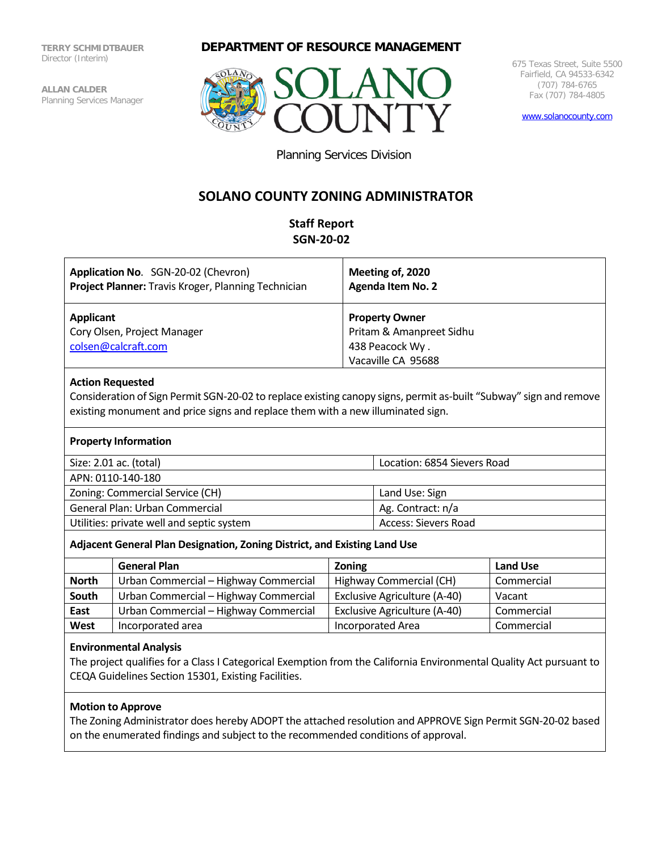**TERRY SCHMIDTBAUER** Director (Interim)

**ALLAN CALDER** Planning Services Manager

## **DEPARTMENT OF RESOURCE MANAGEMENT**



675 Texas Street, Suite 5500 Fairfield, CA 94533-6342 (707) 784-6765 Fax (707) 784-4805

[www.solanocounty.com](http://www.solanocounty.com/)

Planning Services Division

## **SOLANO COUNTY ZONING ADMINISTRATOR**

## **Staff Report SGN-20-02**

| Application No. SGN-20-02 (Chevron)                             | Meeting of, 2020                                                                           |
|-----------------------------------------------------------------|--------------------------------------------------------------------------------------------|
| Project Planner: Travis Kroger, Planning Technician             | <b>Agenda Item No. 2</b>                                                                   |
| Applicant<br>Cory Olsen, Project Manager<br>colsen@calcraft.com | <b>Property Owner</b><br>Pritam & Amanpreet Sidhu<br>438 Peacock Wy.<br>Vacaville CA 95688 |

#### **Action Requested**

Consideration of Sign Permit SGN-20-02 to replace existing canopy signs, permit as-built "Subway" sign and remove existing monument and price signs and replace them with a new illuminated sign.

|  | <b>Property Information</b> |
|--|-----------------------------|
|--|-----------------------------|

| Size: 2.01 ac. (total)                    | Location: 6854 Sievers Road |  |
|-------------------------------------------|-----------------------------|--|
| APN: 0110-140-180                         |                             |  |
| Zoning: Commercial Service (CH)           | Land Use: Sign              |  |
| General Plan: Urban Commercial            | Ag. Contract: n/a           |  |
| Utilities: private well and septic system | Access: Sievers Road        |  |

## **Adjacent General Plan Designation, Zoning District, and Existing Land Use**

|              | <b>General Plan</b>                   | <b>Zoning</b>                | <b>Land Use</b> |  |
|--------------|---------------------------------------|------------------------------|-----------------|--|
| <b>North</b> | Urban Commercial - Highway Commercial | Highway Commercial (CH)      | Commercial      |  |
| South        | Urban Commercial - Highway Commercial | Exclusive Agriculture (A-40) | Vacant          |  |
| East         | Urban Commercial - Highway Commercial | Exclusive Agriculture (A-40) | Commercial      |  |
| West         | Incorporated area                     | Incorporated Area            | Commercial      |  |

## **Environmental Analysis**

The project qualifies for a Class I Categorical Exemption from the California Environmental Quality Act pursuant to CEQA Guidelines Section 15301, Existing Facilities.

## **Motion to Approve**

The Zoning Administrator does hereby ADOPT the attached resolution and APPROVE Sign Permit SGN-20-02 based on the enumerated findings and subject to the recommended conditions of approval.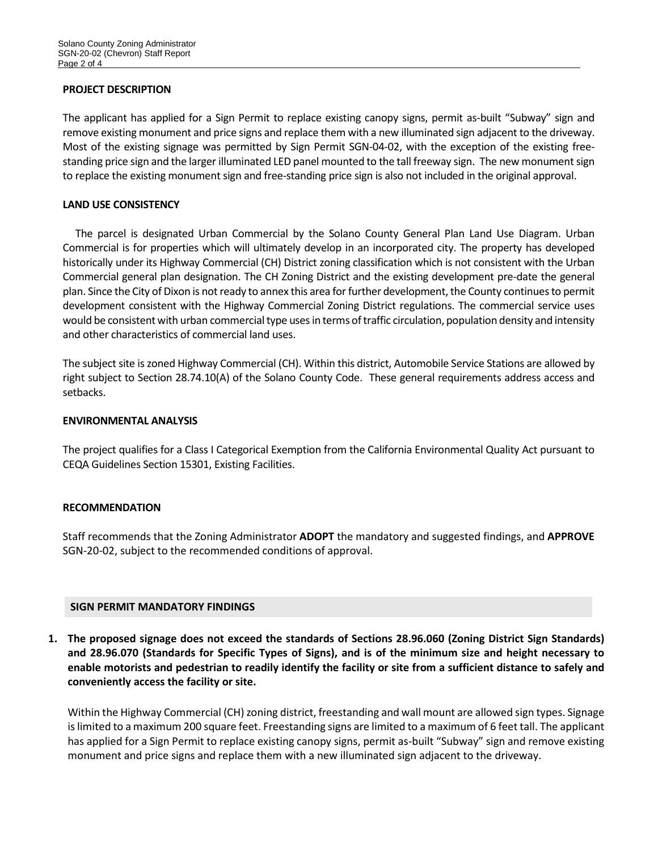#### **PROJECT DESCRIPTION**

The applicant has applied for a Sign Permit to replace existing canopy signs, permit as-built "Subway" sign and remove existing monument and price signs and replace them with a new illuminated sign adjacent to the driveway. Most of the existing signage was permitted by Sign Permit SGN-04-02, with the exception of the existing freestanding price sign and the larger illuminated LED panel mounted to the tall freeway sign. The new monument sign to replace the existing monument sign and free-standing price sign is also not included in the original approval.

#### **LAND USE CONSISTENCY**

 The parcel is designated Urban Commercial by the Solano County General Plan Land Use Diagram. Urban Commercial is for properties which will ultimately develop in an incorporated city. The property has developed historically under its Highway Commercial (CH) District zoning classification which is not consistent with the Urban Commercial general plan designation. The CH Zoning District and the existing development pre-date the general plan. Since the City of Dixon is not ready to annex this area for further development, the County continues to permit development consistent with the Highway Commercial Zoning District regulations. The commercial service uses would be consistent with urban commercial type uses in terms of traffic circulation, population density and intensity and other characteristics of commercial land uses.

The subject site is zoned Highway Commercial (CH). Within this district, Automobile Service Stations are allowed by right subject to Section 28.74.10(A) of the Solano County Code. These general requirements address access and setbacks.

#### **ENVIRONMENTAL ANALYSIS**

The project qualifies for a Class I Categorical Exemption from the California Environmental Quality Act pursuant to CEQA Guidelines Section 15301, Existing Facilities.

## **RECOMMENDATION**

Staff recommends that the Zoning Administrator **ADOPT** the mandatory and suggested findings, and **APPROVE** SGN-20-02, subject to the recommended conditions of approval.

#### **SIGN PERMIT MANDATORY FINDINGS**

**1. The proposed signage does not exceed the standards of Sections 28.96.060 (Zoning District Sign Standards) and 28.96.070 (Standards for Specific Types of Signs), and is of the minimum size and height necessary to enable motorists and pedestrian to readily identify the facility or site from a sufficient distance to safely and conveniently access the facility or site.**

Within the Highway Commercial (CH) zoning district, freestanding and wall mount are allowed sign types. Signage is limited to a maximum 200 square feet. Freestanding signs are limited to a maximum of 6 feet tall. The applicant has applied for a Sign Permit to replace existing canopy signs, permit as-built "Subway" sign and remove existing monument and price signs and replace them with a new illuminated sign adjacent to the driveway.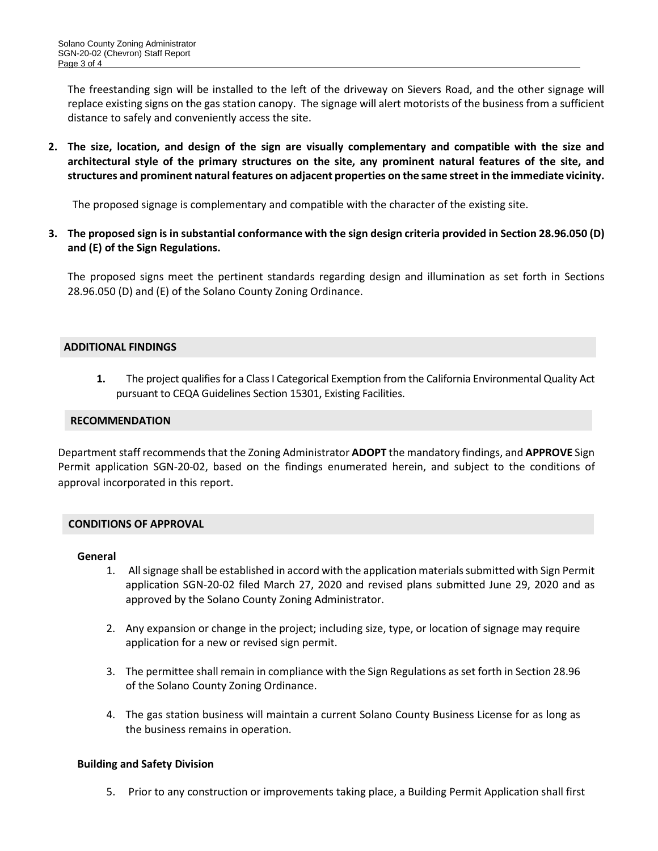The freestanding sign will be installed to the left of the driveway on Sievers Road, and the other signage will replace existing signs on the gas station canopy. The signage will alert motorists of the business from a sufficient distance to safely and conveniently access the site.

**2. The size, location, and design of the sign are visually complementary and compatible with the size and architectural style of the primary structures on the site, any prominent natural features of the site, and structures and prominent natural features on adjacent properties on the same street in the immediate vicinity.**

The proposed signage is complementary and compatible with the character of the existing site.

**3. The proposed sign is in substantial conformance with the sign design criteria provided in Section 28.96.050 (D) and (E) of the Sign Regulations.**

The proposed signs meet the pertinent standards regarding design and illumination as set forth in Sections 28.96.050 (D) and (E) of the Solano County Zoning Ordinance.

#### **ADDITIONAL FINDINGS**

**1.** The project qualifies for a Class I Categorical Exemption from the California Environmental Quality Act pursuant to CEQA Guidelines Section 15301, Existing Facilities.

#### **RECOMMENDATION**

Department staff recommends that the Zoning Administrator **ADOPT** the mandatory findings, and **APPROVE** Sign Permit application SGN-20-02, based on the findings enumerated herein, and subject to the conditions of approval incorporated in this report.

#### **CONDITIONS OF APPROVAL**

#### **General**

- 1. All signage shall be established in accord with the application materials submitted with Sign Permit application SGN-20-02 filed March 27, 2020 and revised plans submitted June 29, 2020 and as approved by the Solano County Zoning Administrator.
- 2. Any expansion or change in the project; including size, type, or location of signage may require application for a new or revised sign permit.
- 3. The permittee shall remain in compliance with the Sign Regulations as set forth in Section 28.96 of the Solano County Zoning Ordinance.
- 4. The gas station business will maintain a current Solano County Business License for as long as the business remains in operation.

#### **Building and Safety Division**

5. Prior to any construction or improvements taking place, a Building Permit Application shall first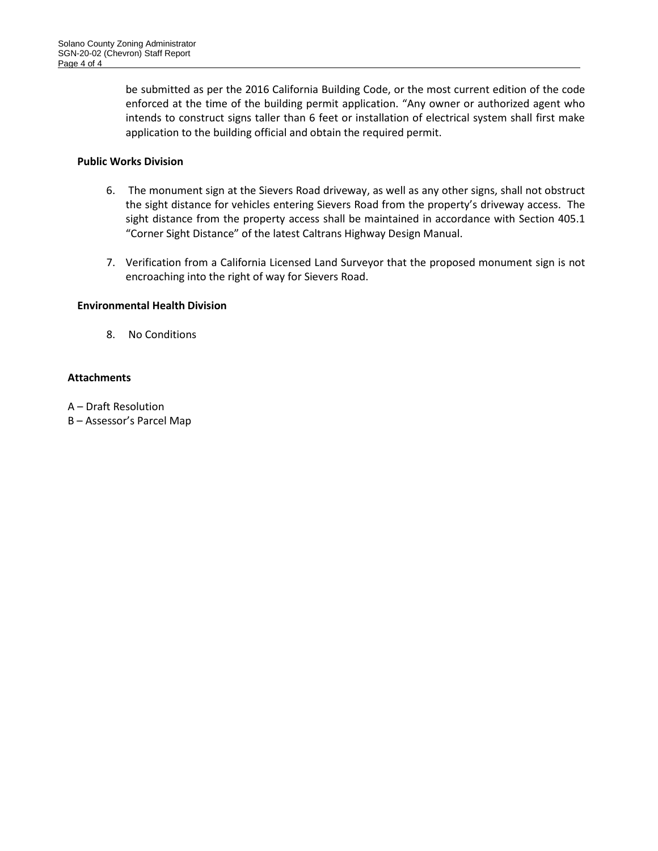be submitted as per the 2016 California Building Code, or the most current edition of the code enforced at the time of the building permit application. "Any owner or authorized agent who intends to construct signs taller than 6 feet or installation of electrical system shall first make application to the building official and obtain the required permit.

## **Public Works Division**

- 6. The monument sign at the Sievers Road driveway, as well as any other signs, shall not obstruct the sight distance for vehicles entering Sievers Road from the property's driveway access. The sight distance from the property access shall be maintained in accordance with Section 405.1 "Corner Sight Distance" of the latest Caltrans Highway Design Manual.
- 7. Verification from a California Licensed Land Surveyor that the proposed monument sign is not encroaching into the right of way for Sievers Road.

#### **Environmental Health Division**

8. No Conditions

## **Attachments**

- A Draft Resolution
- B Assessor's Parcel Map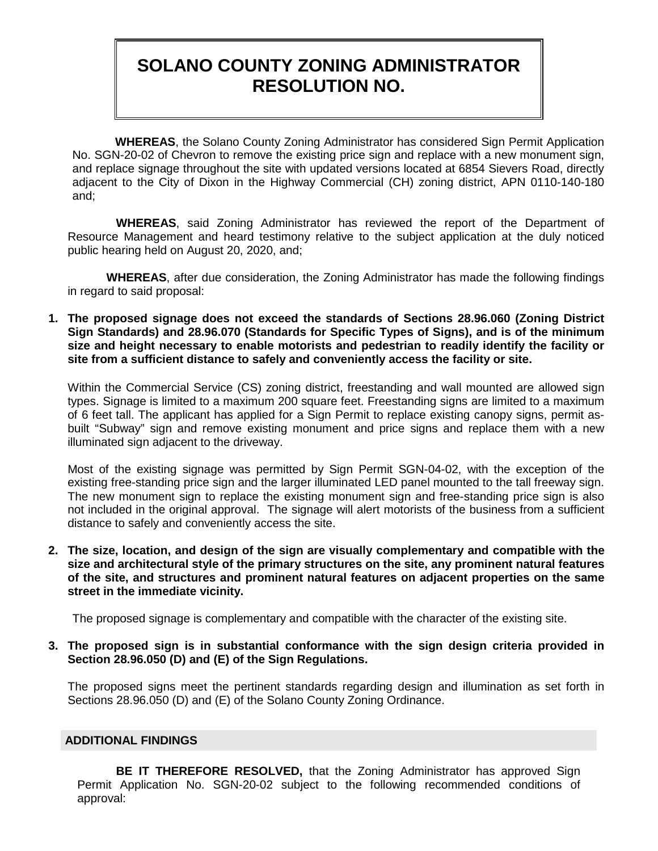# **SOLANO COUNTY ZONING ADMINISTRATOR RESOLUTION NO.**

 **WHEREAS**, the Solano County Zoning Administrator has considered Sign Permit Application No. SGN-20-02 of Chevron to remove the existing price sign and replace with a new monument sign, and replace signage throughout the site with updated versions located at 6854 Sievers Road, directly adjacent to the City of Dixon in the Highway Commercial (CH) zoning district, APN 0110-140-180 and;

**WHEREAS**, said Zoning Administrator has reviewed the report of the Department of Resource Management and heard testimony relative to the subject application at the duly noticed public hearing held on August 20, 2020, and;

**WHEREAS**, after due consideration, the Zoning Administrator has made the following findings in regard to said proposal:

**1. The proposed signage does not exceed the standards of Sections 28.96.060 (Zoning District Sign Standards) and 28.96.070 (Standards for Specific Types of Signs), and is of the minimum size and height necessary to enable motorists and pedestrian to readily identify the facility or site from a sufficient distance to safely and conveniently access the facility or site.**

Within the Commercial Service (CS) zoning district, freestanding and wall mounted are allowed sign types. Signage is limited to a maximum 200 square feet. Freestanding signs are limited to a maximum of 6 feet tall. The applicant has applied for a Sign Permit to replace existing canopy signs, permit asbuilt "Subway" sign and remove existing monument and price signs and replace them with a new illuminated sign adjacent to the driveway.

Most of the existing signage was permitted by Sign Permit SGN-04-02, with the exception of the existing free-standing price sign and the larger illuminated LED panel mounted to the tall freeway sign. The new monument sign to replace the existing monument sign and free-standing price sign is also not included in the original approval. The signage will alert motorists of the business from a sufficient distance to safely and conveniently access the site.

**2. The size, location, and design of the sign are visually complementary and compatible with the size and architectural style of the primary structures on the site, any prominent natural features of the site, and structures and prominent natural features on adjacent properties on the same street in the immediate vicinity.**

The proposed signage is complementary and compatible with the character of the existing site.

**3. The proposed sign is in substantial conformance with the sign design criteria provided in Section 28.96.050 (D) and (E) of the Sign Regulations.**

The proposed signs meet the pertinent standards regarding design and illumination as set forth in Sections 28.96.050 (D) and (E) of the Solano County Zoning Ordinance.

## **ADDITIONAL FINDINGS**

**BE IT THEREFORE RESOLVED,** that the Zoning Administrator has approved Sign Permit Application No. SGN-20-02 subject to the following recommended conditions of approval: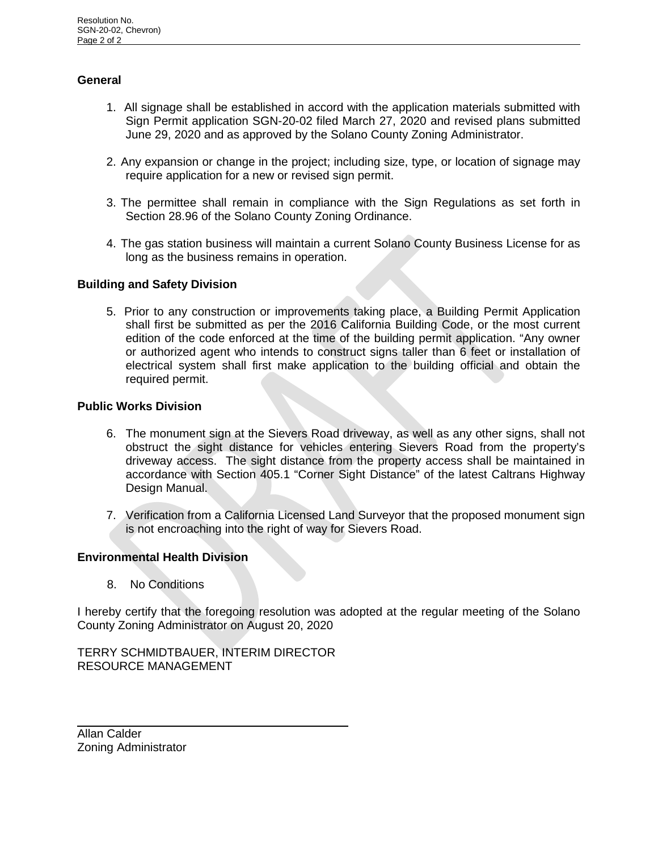## **General**

- 1. All signage shall be established in accord with the application materials submitted with Sign Permit application SGN-20-02 filed March 27, 2020 and revised plans submitted June 29, 2020 and as approved by the Solano County Zoning Administrator.
- 2. Any expansion or change in the project; including size, type, or location of signage may require application for a new or revised sign permit.
- 3. The permittee shall remain in compliance with the Sign Regulations as set forth in Section 28.96 of the Solano County Zoning Ordinance.
- 4. The gas station business will maintain a current Solano County Business License for as long as the business remains in operation.

## **Building and Safety Division**

5. Prior to any construction or improvements taking place, a Building Permit Application shall first be submitted as per the 2016 California Building Code, or the most current edition of the code enforced at the time of the building permit application. "Any owner or authorized agent who intends to construct signs taller than 6 feet or installation of electrical system shall first make application to the building official and obtain the required permit.

## **Public Works Division**

- 6. The monument sign at the Sievers Road driveway, as well as any other signs, shall not obstruct the sight distance for vehicles entering Sievers Road from the property's driveway access. The sight distance from the property access shall be maintained in accordance with Section 405.1 "Corner Sight Distance" of the latest Caltrans Highway Design Manual.
- 7. Verification from a California Licensed Land Surveyor that the proposed monument sign is not encroaching into the right of way for Sievers Road.

## **Environmental Health Division**

8.No Conditions

I hereby certify that the foregoing resolution was adopted at the regular meeting of the Solano County Zoning Administrator on August 20, 2020

## TERRY SCHMIDTBAUER, INTERIM DIRECTOR RESOURCE MANAGEMENT

Allan Calder Zoning Administrator